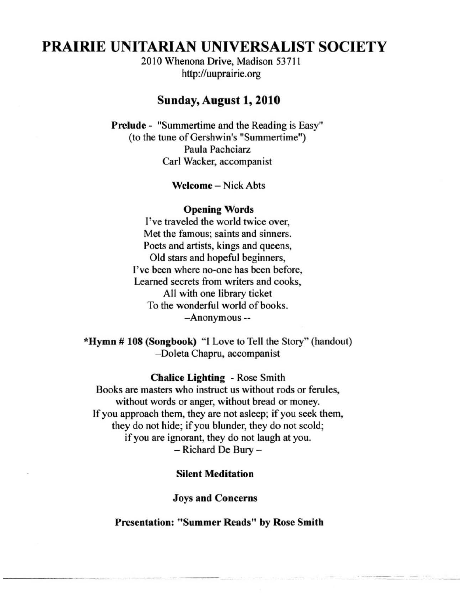# **PRAIRIE UNITARIAN UNIVERSALIST SOCIETY**

2010 Whenona Drive, Madison 53711 http://uuprairie.org

#### Sunday, August 1, 2010

Prelude - "Summertime and the Reading is Easy" (to the tune of Gershwin's "Summertime") Paula Pachciarz Carl Wacker, accompanist

Welcome – Nick Abts

#### Opening Words

I've traveled the world twice over, Met the famous; saints and sinners. Poets and artists, kings and queens, Old stars and hopeful beginners, I've been where no-one has been before, Leamed secrets from writers and cooks, All with one library ticket To the wonderful world of books. -Anonymous --

'Hymn # 108 (Songbook) "I Love to Tell the Story" (handout) -Doleta Chapru, accompanist

#### Chalice Lighting - Rose Smith

Books are masters who instruct us without rods or ferules, without words or anger, without bread or money. If you approach them, they are not asleep; if you seek them, they do not hide; if you blunder, they do not scold; if you are ignorant, they do not laugh at you. - Richard De Bury -

#### Silent Meditation

Joys and Concerns

Presentation: "Summer Reads" by Rose Smith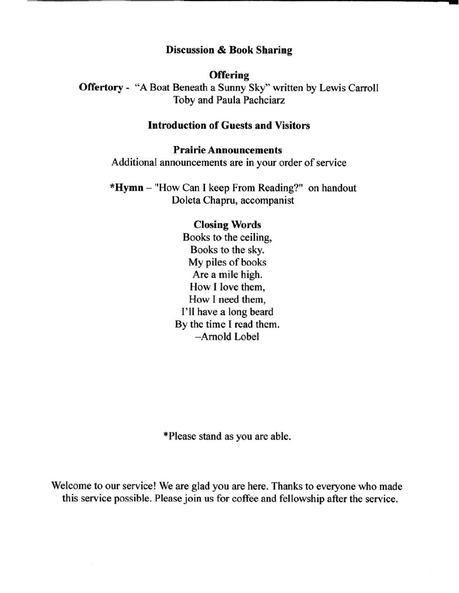### Discussion & Book Sharing

**-**

#### **Offering**

Offertory - "A Boat Beneath a Sunny Sky" written by Lewis Carroll Toby and Paula Pachciarz

# Introduction of Guests and Visitors

#### Prairie Announcements

Additional announcements are in your order of service

\*Hymn - "How Can I keep From Reading?" on handout Doleta Chapru, accompanist

#### Closing Words

Books to the ceiling, Books to the sky. My piles of books Are a mile high. How I love them, How I need them, I'll have a long beard By the time I read them. -Arnold Lobel

'Please stand as you are able.

Welcome to our service! We are glad you are here. Thanks to everyone who made this service possible. Please join us for coffee and fellowship after the service.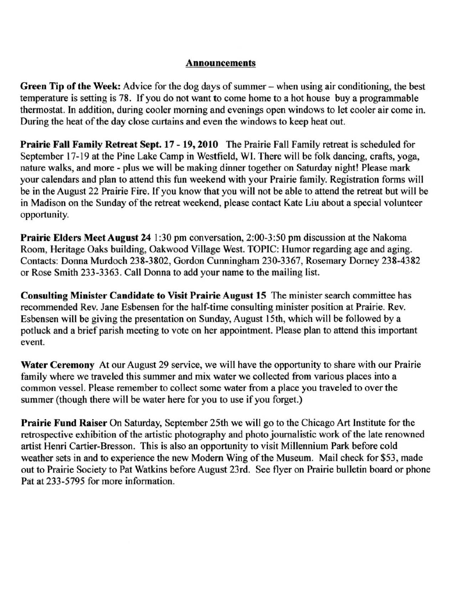### Announcements

Green Tip of the Week: Advice for the dog days of summer – when using air conditioning, the best temperature is setting is 78. If you do not want to come home to a hot house buy a programmable thermostat. In addition, during cooler morning and evenings open windows to let cooler air come in. During the heat of the day close curtains and even the windows to keep heat out.

Prairie Fall Family Retreat Sept. 17 - 19, 2010 The Prairie Fall Family retreat is scheduled for September 17-19 at the Pine Lake Camp in Westfield, WI. There will be folk dancing, crafts, yoga, nature walks, and more - plus we will be making dinner together on Saturday night! Please mark your calendars and plan to attend this fun weekend with your Prairie family. Registration forms will be in the August 22 Prairie Fire. If you know that you will not be able to attend the retreat but will be in Madison on the Sunday of the retreat weekend, please contact Kate Liu about a special volunteer opportunity.

Prairie Elders Meet August 24 1:30 pm conversation, 2:00-3:50 pm discussion at the Nakoma Room, Heritage Oaks building, Oakwood Village West. TOPIC: Humor regarding age and aging. Contacts: Donna Murdoch 238-3802, Gordon Cunningham 230-3367, Rosemary Dorney 238-4382 or Rose Smith 233-3363. Call Donna to add your name to the mailing list.

Consulting Minister Candidate to Visit Prairie August 15 The minister search committee has recommended Rev. Jane Esbensen for the half-time consulting minister position at Prairie. Rev. Esbensen will be giving the presentation on Sunday, August 15th, which will be followed by a potluck and a brief parish meeting to vote on her appointment. Please plan to attend this important **event.** 

Water Ceremony At our August 29 service, we will have the opportunity to share with our Prairie family where we traveled this summer and mix water we collected from various places into a common vessel. Please remember to collect some water from a place you traveled to over the summer (though there will be water here for you to use if you forget.)

Prairie Fund Raiser On Saturday, September 25th we will go to the Chicago Art Institute for the retrospective exhibition of the artistic photography and photo journalistic work of the late renowned artist Henri Cartier-Bresson. This is also an opportunity to visit Millennium Park before cold weather sets in and to experience the new Modem Wing of the Museum. Mail check for \$53, made out to Prairie Society to Pat Watkins before August 23rd. See flyer on Prairie bulletin board or phone Pat at 233-5795 for more information.